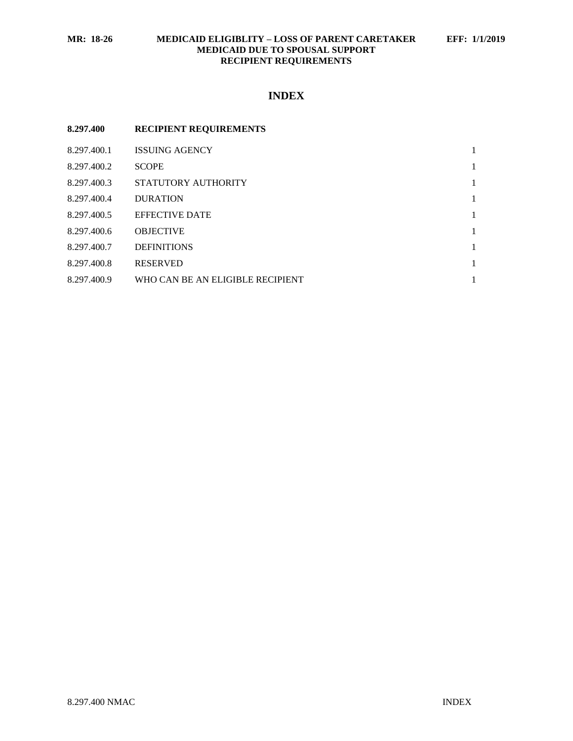## **MR: 18-26 MEDICAID ELIGIBLITY – LOSS OF PARENT CARETAKER EFF: 1/1/2019 MEDICAID DUE TO SPOUSAL SUPPORT RECIPIENT REQUIREMENTS**

# **INDEX**

| 8.297.400   | <b>RECIPIENT REQUIREMENTS</b>    |              |
|-------------|----------------------------------|--------------|
| 8.297.400.1 | <b>ISSUING AGENCY</b>            | 1            |
| 8.297.400.2 | <b>SCOPE</b>                     | 1            |
| 8.297.400.3 | STATUTORY AUTHORITY              | 1            |
| 8.297.400.4 | <b>DURATION</b>                  | 1            |
| 8.297.400.5 | <b>EFFECTIVE DATE</b>            | $\mathbf{1}$ |
| 8.297.400.6 | <b>OBJECTIVE</b>                 | 1            |
| 8.297.400.7 | <b>DEFINITIONS</b>               | 1            |
| 8.297.400.8 | <b>RESERVED</b>                  | 1            |
| 8.297.400.9 | WHO CAN BE AN ELIGIBLE RECIPIENT |              |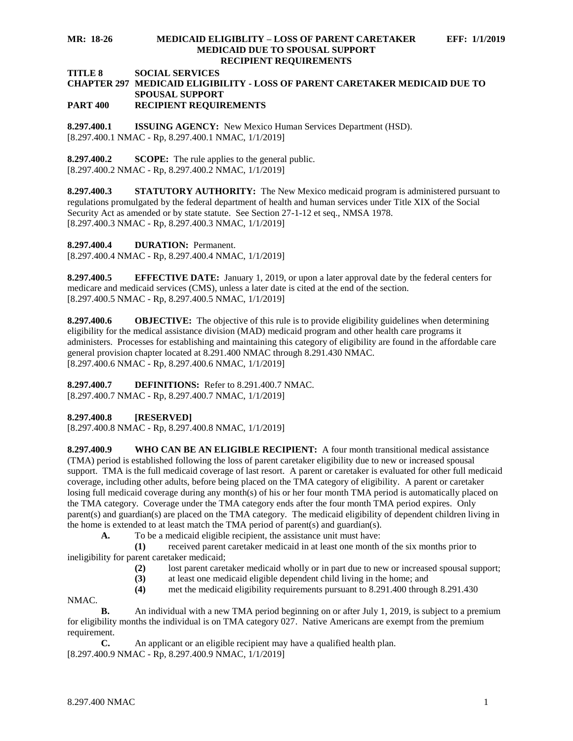### **MR: 18-26 MEDICAID ELIGIBLITY – LOSS OF PARENT CARETAKER EFF: 1/1/2019 MEDICAID DUE TO SPOUSAL SUPPORT RECIPIENT REQUIREMENTS**

#### **TITLE 8 SOCIAL SERVICES**

#### **CHAPTER 297 MEDICAID ELIGIBILITY - LOSS OF PARENT CARETAKER MEDICAID DUE TO SPOUSAL SUPPORT PART 400 RECIPIENT REQUIREMENTS**

<span id="page-1-0"></span>**8.297.400.1 ISSUING AGENCY:** New Mexico Human Services Department (HSD). [8.297.400.1 NMAC - Rp, 8.297.400.1 NMAC, 1/1/2019]

<span id="page-1-1"></span>**8.297.400.2 SCOPE:** The rule applies to the general public. [8.297.400.2 NMAC - Rp, 8.297.400.2 NMAC, 1/1/2019]

<span id="page-1-2"></span>**8.297.400.3 STATUTORY AUTHORITY:** The New Mexico medicaid program is administered pursuant to regulations promulgated by the federal department of health and human services under Title XIX of the Social Security Act as amended or by state statute. See Section 27-1-12 et seq., NMSA 1978. [8.297.400.3 NMAC - Rp, 8.297.400.3 NMAC, 1/1/2019]

<span id="page-1-3"></span>**8.297.400.4 DURATION:** Permanent.

[8.297.400.4 NMAC - Rp, 8.297.400.4 NMAC, 1/1/2019]

<span id="page-1-4"></span>**8.297.400.5 EFFECTIVE DATE:** January 1, 2019, or upon a later approval date by the federal centers for medicare and medicaid services (CMS), unless a later date is cited at the end of the section. [8.297.400.5 NMAC - Rp, 8.297.400.5 NMAC, 1/1/2019]

<span id="page-1-5"></span>**8.297.400.6 OBJECTIVE:** The objective of this rule is to provide eligibility guidelines when determining eligibility for the medical assistance division (MAD) medicaid program and other health care programs it administers. Processes for establishing and maintaining this category of eligibility are found in the affordable care general provision chapter located at 8.291.400 NMAC through 8.291.430 NMAC. [8.297.400.6 NMAC - Rp, 8.297.400.6 NMAC, 1/1/2019]

<span id="page-1-6"></span>**8.297.400.7 DEFINITIONS:** Refer to 8.291.400.7 NMAC. [8.297.400.7 NMAC - Rp, 8.297.400.7 NMAC, 1/1/2019]

<span id="page-1-7"></span>**8.297.400.8 [RESERVED]**

[8.297.400.8 NMAC - Rp, 8.297.400.8 NMAC, 1/1/2019]

<span id="page-1-8"></span>**8.297.400.9 WHO CAN BE AN ELIGIBLE RECIPIENT:** A four month transitional medical assistance (TMA) period is established following the loss of parent caretaker eligibility due to new or increased spousal support. TMA is the full medicaid coverage of last resort. A parent or caretaker is evaluated for other full medicaid coverage, including other adults, before being placed on the TMA category of eligibility. A parent or caretaker losing full medicaid coverage during any month(s) of his or her four month TMA period is automatically placed on the TMA category. Coverage under the TMA category ends after the four month TMA period expires. Only parent(s) and guardian(s) are placed on the TMA category. The medicaid eligibility of dependent children living in the home is extended to at least match the TMA period of parent(s) and guardian(s).

**A.** To be a medicaid eligible recipient, the assistance unit must have:

**(1)** received parent caretaker medicaid in at least one month of the six months prior to ineligibility for parent caretaker medicaid;

- **(2)** lost parent caretaker medicaid wholly or in part due to new or increased spousal support;
- **(3)** at least one medicaid eligible dependent child living in the home; and
- **(4)** met the medicaid eligibility requirements pursuant to 8.291.400 through 8.291.430

NMAC.

**B.** An individual with a new TMA period beginning on or after July 1, 2019, is subject to a premium for eligibility months the individual is on TMA category 027. Native Americans are exempt from the premium requirement.

**C.** An applicant or an eligible recipient may have a qualified health plan. [8.297.400.9 NMAC - Rp, 8.297.400.9 NMAC, 1/1/2019]